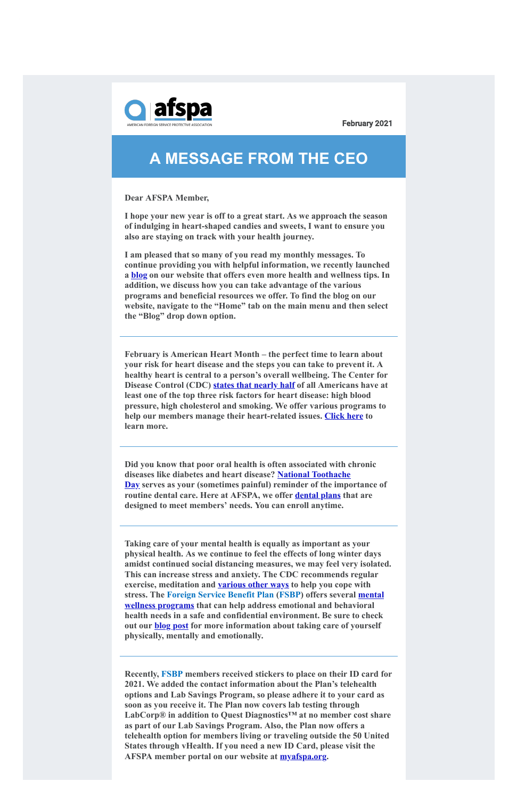

February 2021

## **A MESSAGE FROM THE CEO**

**Dear AFSPA Member,**

**I hope your new year is off to a great start. As we approach the season of indulging in heart-shaped candies and sweets, I want to ensure you also are staying on track with your health journey.**

**I am pleased that so many of you read my monthly messages. To continue providing you with helpful information, we recently launched a [blog](https://www.afspa.org/blog.cfm) on our website that offers even more health and wellness tips. In addition, we discuss how you can take advantage of the various programs and beneficial resources we offer. To find the blog on our website, navigate to the "Home" tab on the main menu and then select the "Blog" drop down option.**

**February is American Heart Month – the perfect time to learn about your risk for heart disease and the steps you can take to prevent it. A healthy heart is central to a person's overall wellbeing. The Center for Disease Control (CDC) [states that nearly half](https://www.cdc.gov/heartdisease/any_age.htm) of all Americans have at least one of the top three risk factors for heart disease: high blood pressure, high cholesterol and smoking. We offer various programs to help our members manage their heart-related issues. [Click here](https://www.afspa.org/blog/2864/American-Heart-Month-) to learn more.**

**Did you know that poor oral health is often associated with chronic diseases like diabetes and heart disease? National Toothache [Day serves as your \(sometimes painful\) reminder of the impo](https://nationaldaycalendar.com/national-toothache-day-february-9/)rtance of routine dental care. Here at AFSPA, we offer [dental plans](https://www.afspa.org/aip_detail.cfm?page=Dental) that are designed to meet members' needs. You can enroll anytime.**

**Taking care of your mental health is equally as important as your physical health. As we continue to feel the effects of long winter days amidst continued social distancing measures, we may feel very isolated. This can increase stress and anxiety. The CDC recommends regular exercise, meditation and [various other ways](https://www.cdc.gov/coronavirus/2019-ncov/daily-life-coping/managing-stress-anxiety.html) to help you cope with [stress. The Foreign Service Benefit Plan \(FSBP\) offers several mental](https://www.afspa.org/fsbp_detail.cfm?page=Health-Programs&tabset=6) wellness programs that can help address emotional and behavioral health needs in a safe and confidential environment. Be sure to check out our [blog post](https://www.afspa.org/blog/2865/Mental-Wellness-) for more information about taking care of yourself physically, mentally and emotionally.**

**Recently, FSBP members received stickers to place on their ID card for 2021. We added the contact information about the Plan's telehealth options and Lab Savings Program, so please adhere it to your card as soon as you receive it. The Plan now covers lab testing through LabCorp® in addition to Quest Diagnostics™ at no member cost share as part of our Lab Savings Program. Also, the Plan now offers a telehealth option for members living or traveling outside the 50 United States through vHealth. If you need a new ID Card, please visit the AFSPA member portal on our website at [myafspa.org.](https://www.myafspa.org/#!)**